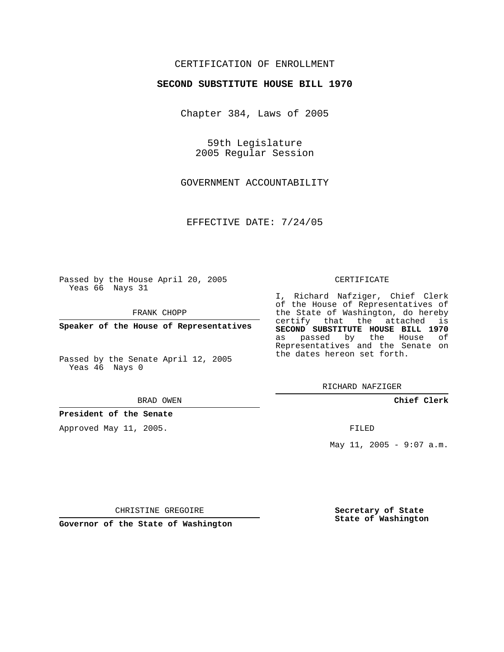# CERTIFICATION OF ENROLLMENT

### **SECOND SUBSTITUTE HOUSE BILL 1970**

Chapter 384, Laws of 2005

59th Legislature 2005 Regular Session

GOVERNMENT ACCOUNTABILITY

EFFECTIVE DATE: 7/24/05

Passed by the House April 20, 2005 Yeas 66 Nays 31

FRANK CHOPP

**Speaker of the House of Representatives**

Passed by the Senate April 12, 2005 Yeas 46 Nays 0

#### BRAD OWEN

**President of the Senate**

Approved May 11, 2005.

### CERTIFICATE

I, Richard Nafziger, Chief Clerk of the House of Representatives of the State of Washington, do hereby certify that the attached is **SECOND SUBSTITUTE HOUSE BILL 1970** as passed by the House of Representatives and the Senate on the dates hereon set forth.

RICHARD NAFZIGER

**Chief Clerk**

FILED

May 11, 2005 - 9:07  $a.m.$ 

CHRISTINE GREGOIRE

**Governor of the State of Washington**

**Secretary of State State of Washington**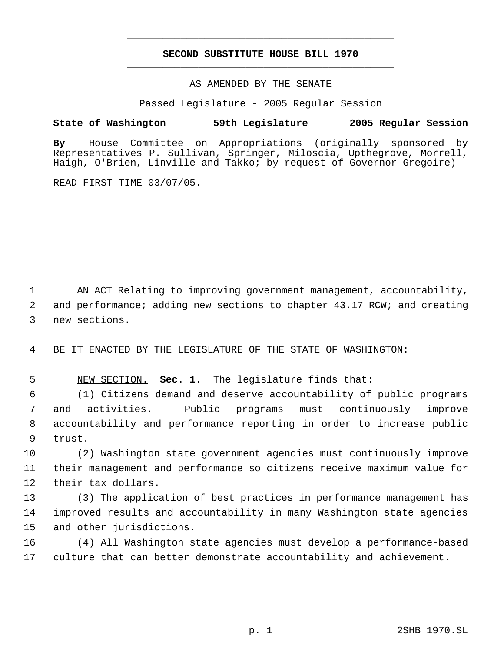# **SECOND SUBSTITUTE HOUSE BILL 1970** \_\_\_\_\_\_\_\_\_\_\_\_\_\_\_\_\_\_\_\_\_\_\_\_\_\_\_\_\_\_\_\_\_\_\_\_\_\_\_\_\_\_\_\_\_

\_\_\_\_\_\_\_\_\_\_\_\_\_\_\_\_\_\_\_\_\_\_\_\_\_\_\_\_\_\_\_\_\_\_\_\_\_\_\_\_\_\_\_\_\_

### AS AMENDED BY THE SENATE

Passed Legislature - 2005 Regular Session

# **State of Washington 59th Legislature 2005 Regular Session**

**By** House Committee on Appropriations (originally sponsored by Representatives P. Sullivan, Springer, Miloscia, Upthegrove, Morrell, Haigh, O'Brien, Linville and Takko; by request of Governor Gregoire)

READ FIRST TIME 03/07/05.

 AN ACT Relating to improving government management, accountability, and performance; adding new sections to chapter 43.17 RCW; and creating new sections.

BE IT ENACTED BY THE LEGISLATURE OF THE STATE OF WASHINGTON:

NEW SECTION. **Sec. 1.** The legislature finds that:

 (1) Citizens demand and deserve accountability of public programs and activities. Public programs must continuously improve accountability and performance reporting in order to increase public trust.

 (2) Washington state government agencies must continuously improve their management and performance so citizens receive maximum value for their tax dollars.

 (3) The application of best practices in performance management has improved results and accountability in many Washington state agencies and other jurisdictions.

 (4) All Washington state agencies must develop a performance-based culture that can better demonstrate accountability and achievement.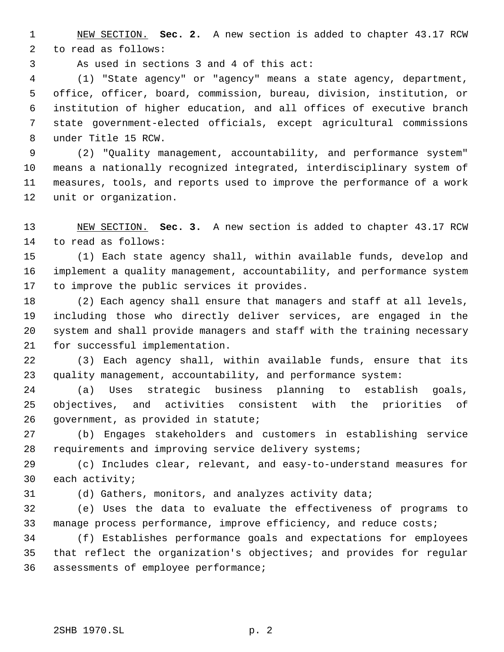NEW SECTION. **Sec. 2.** A new section is added to chapter 43.17 RCW to read as follows:

As used in sections 3 and 4 of this act:

 (1) "State agency" or "agency" means a state agency, department, office, officer, board, commission, bureau, division, institution, or institution of higher education, and all offices of executive branch state government-elected officials, except agricultural commissions under Title 15 RCW.

 (2) "Quality management, accountability, and performance system" means a nationally recognized integrated, interdisciplinary system of measures, tools, and reports used to improve the performance of a work unit or organization.

 NEW SECTION. **Sec. 3.** A new section is added to chapter 43.17 RCW to read as follows:

 (1) Each state agency shall, within available funds, develop and implement a quality management, accountability, and performance system to improve the public services it provides.

 (2) Each agency shall ensure that managers and staff at all levels, including those who directly deliver services, are engaged in the system and shall provide managers and staff with the training necessary for successful implementation.

 (3) Each agency shall, within available funds, ensure that its quality management, accountability, and performance system:

 (a) Uses strategic business planning to establish goals, objectives, and activities consistent with the priorities of government, as provided in statute;

 (b) Engages stakeholders and customers in establishing service requirements and improving service delivery systems;

 (c) Includes clear, relevant, and easy-to-understand measures for each activity;

(d) Gathers, monitors, and analyzes activity data;

 (e) Uses the data to evaluate the effectiveness of programs to manage process performance, improve efficiency, and reduce costs;

 (f) Establishes performance goals and expectations for employees that reflect the organization's objectives; and provides for regular assessments of employee performance;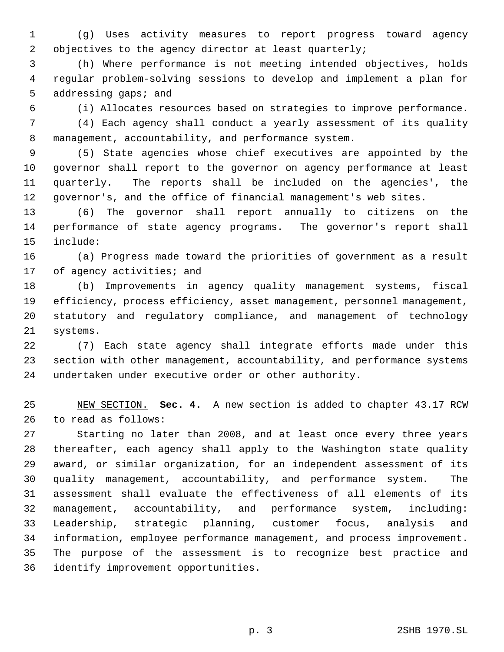(g) Uses activity measures to report progress toward agency 2 objectives to the agency director at least quarterly;

 (h) Where performance is not meeting intended objectives, holds regular problem-solving sessions to develop and implement a plan for 5 addressing gaps; and

(i) Allocates resources based on strategies to improve performance.

 (4) Each agency shall conduct a yearly assessment of its quality management, accountability, and performance system.

 (5) State agencies whose chief executives are appointed by the governor shall report to the governor on agency performance at least quarterly. The reports shall be included on the agencies', the governor's, and the office of financial management's web sites.

 (6) The governor shall report annually to citizens on the performance of state agency programs. The governor's report shall include:

 (a) Progress made toward the priorities of government as a result 17 of agency activities; and

 (b) Improvements in agency quality management systems, fiscal efficiency, process efficiency, asset management, personnel management, statutory and regulatory compliance, and management of technology systems.

 (7) Each state agency shall integrate efforts made under this section with other management, accountability, and performance systems undertaken under executive order or other authority.

 NEW SECTION. **Sec. 4.** A new section is added to chapter 43.17 RCW to read as follows:

 Starting no later than 2008, and at least once every three years thereafter, each agency shall apply to the Washington state quality award, or similar organization, for an independent assessment of its quality management, accountability, and performance system. The assessment shall evaluate the effectiveness of all elements of its management, accountability, and performance system, including: Leadership, strategic planning, customer focus, analysis and information, employee performance management, and process improvement. The purpose of the assessment is to recognize best practice and identify improvement opportunities.